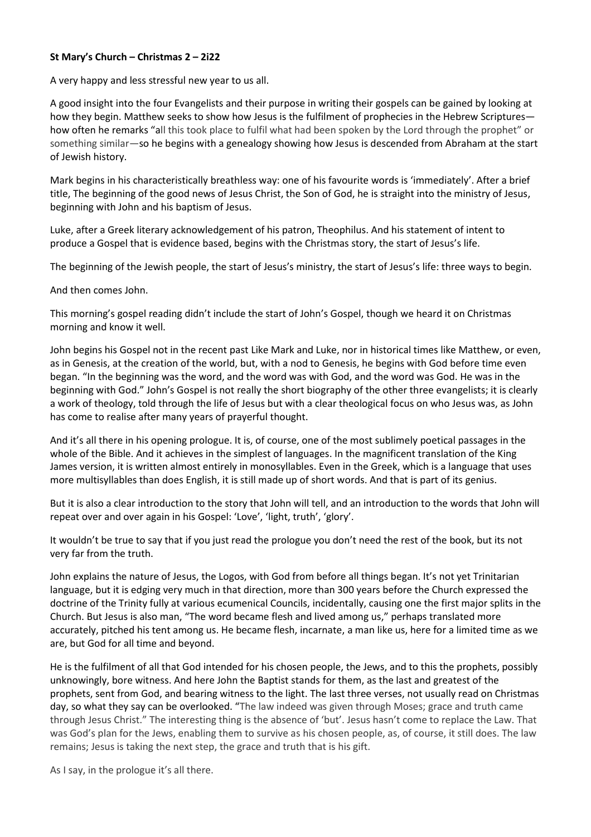## **St Mary's Church – Christmas 2 – 2i22**

A very happy and less stressful new year to us all.

A good insight into the four Evangelists and their purpose in writing their gospels can be gained by looking at how they begin. Matthew seeks to show how Jesus is the fulfilment of prophecies in the Hebrew Scriptures how often he remarks "all this took place to fulfil what had been spoken by the Lord through the prophet" or something similar—so he begins with a genealogy showing how Jesus is descended from Abraham at the start of Jewish history.

Mark begins in his characteristically breathless way: one of his favourite words is 'immediately'. After a brief title, The beginning of the good news of Jesus Christ, the Son of God, he is straight into the ministry of Jesus, beginning with John and his baptism of Jesus.

Luke, after a Greek literary acknowledgement of his patron, Theophilus. And his statement of intent to produce a Gospel that is evidence based, begins with the Christmas story, the start of Jesus's life.

The beginning of the Jewish people, the start of Jesus's ministry, the start of Jesus's life: three ways to begin.

And then comes John.

This morning's gospel reading didn't include the start of John's Gospel, though we heard it on Christmas morning and know it well.

John begins his Gospel not in the recent past Like Mark and Luke, nor in historical times like Matthew, or even, as in Genesis, at the creation of the world, but, with a nod to Genesis, he begins with God before time even began. "In the beginning was the word, and the word was with God, and the word was God. He was in the beginning with God." John's Gospel is not really the short biography of the other three evangelists; it is clearly a work of theology, told through the life of Jesus but with a clear theological focus on who Jesus was, as John has come to realise after many years of prayerful thought.

And it's all there in his opening prologue. It is, of course, one of the most sublimely poetical passages in the whole of the Bible. And it achieves in the simplest of languages. In the magnificent translation of the King James version, it is written almost entirely in monosyllables. Even in the Greek, which is a language that uses more multisyllables than does English, it is still made up of short words. And that is part of its genius.

But it is also a clear introduction to the story that John will tell, and an introduction to the words that John will repeat over and over again in his Gospel: 'Love', 'light, truth', 'glory'.

It wouldn't be true to say that if you just read the prologue you don't need the rest of the book, but its not very far from the truth.

John explains the nature of Jesus, the Logos, with God from before all things began. It's not yet Trinitarian language, but it is edging very much in that direction, more than 300 years before the Church expressed the doctrine of the Trinity fully at various ecumenical Councils, incidentally, causing one the first major splits in the Church. But Jesus is also man, "The word became flesh and lived among us," perhaps translated more accurately, pitched his tent among us. He became flesh, incarnate, a man like us, here for a limited time as we are, but God for all time and beyond.

He is the fulfilment of all that God intended for his chosen people, the Jews, and to this the prophets, possibly unknowingly, bore witness. And here John the Baptist stands for them, as the last and greatest of the prophets, sent from God, and bearing witness to the light. The last three verses, not usually read on Christmas day, so what they say can be overlooked. "The law indeed was given through Moses; grace and truth came through Jesus Christ." The interesting thing is the absence of 'but'. Jesus hasn't come to replace the Law. That was God's plan for the Jews, enabling them to survive as his chosen people, as, of course, it still does. The law remains; Jesus is taking the next step, the grace and truth that is his gift.

As I say, in the prologue it's all there.